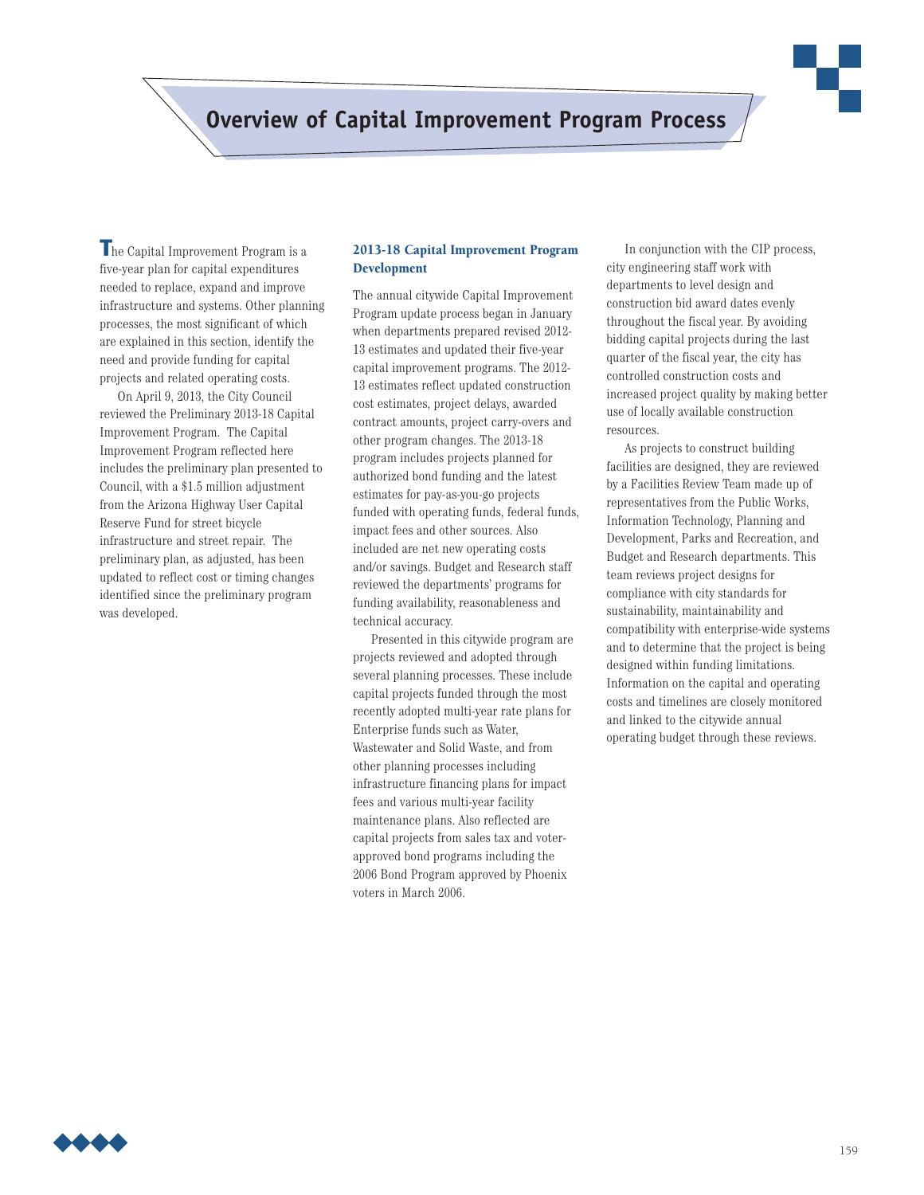# **Overview of Capital Improvement Program Process**

**T**he Capital Improvement Program is a five-year plan for capital expenditures needed to replace, expand and improve infrastructure and systems. Other planning processes, the most significant of which are explained in this section, identify the need and provide funding for capital projects and related operating costs.

On April 9, 2013, the City Council reviewed the Preliminary 2013-18 Capital Improvement Program. The Capital Improvement Program reflected here includes the preliminary plan presented to Council, with a \$1.5 million adjustment from the Arizona Highway User Capital Reserve Fund for street bicycle infrastructure and street repair. The preliminary plan, as adjusted, has been updated to reflect cost or timing changes identified since the preliminary program was developed.

## **2013-18 Capital Improvement Program Development**

The annual citywide Capital Improvement Program update process began in January when departments prepared revised 2012- 13 estimates and updated their five-year capital improvement programs. The 2012- 13 estimates reflect updated construction cost estimates, project delays, awarded contract amounts, project carry-overs and other program changes. The 2013-18 program includes projects planned for authorized bond funding and the latest estimates for pay-as-you-go projects funded with operating funds, federal funds, impact fees and other sources. Also included are net new operating costs and/or savings. Budget and Research staff reviewed the departments' programs for funding availability, reasonableness and technical accuracy.

Presented in this citywide program are projects reviewed and adopted through several planning processes. These include capital projects funded through the most recently adopted multi-year rate plans for Enterprise funds such as Water, Wastewater and Solid Waste, and from other planning processes including infrastructure financing plans for impact fees and various multi-year facility maintenance plans. Also reflected are capital projects from sales tax and voterapproved bond programs including the 2006 Bond Program approved by Phoenix voters in March 2006.

In conjunction with the CIP process, city engineering staff work with departments to level design and construction bid award dates evenly throughout the fiscal year. By avoiding bidding capital projects during the last quarter of the fiscal year, the city has controlled construction costs and increased project quality by making better use of locally available construction resources.

As projects to construct building facilities are designed, they are reviewed by a Facilities Review Team made up of representatives from the Public Works, Information Technology, Planning and Development, Parks and Recreation, and Budget and Research departments. This team reviews project designs for compliance with city standards for sustainability, maintainability and compatibility with enterprise-wide systems and to determine that the project is being designed within funding limitations. Information on the capital and operating costs and timelines are closely monitored and linked to the citywide annual operating budget through these reviews.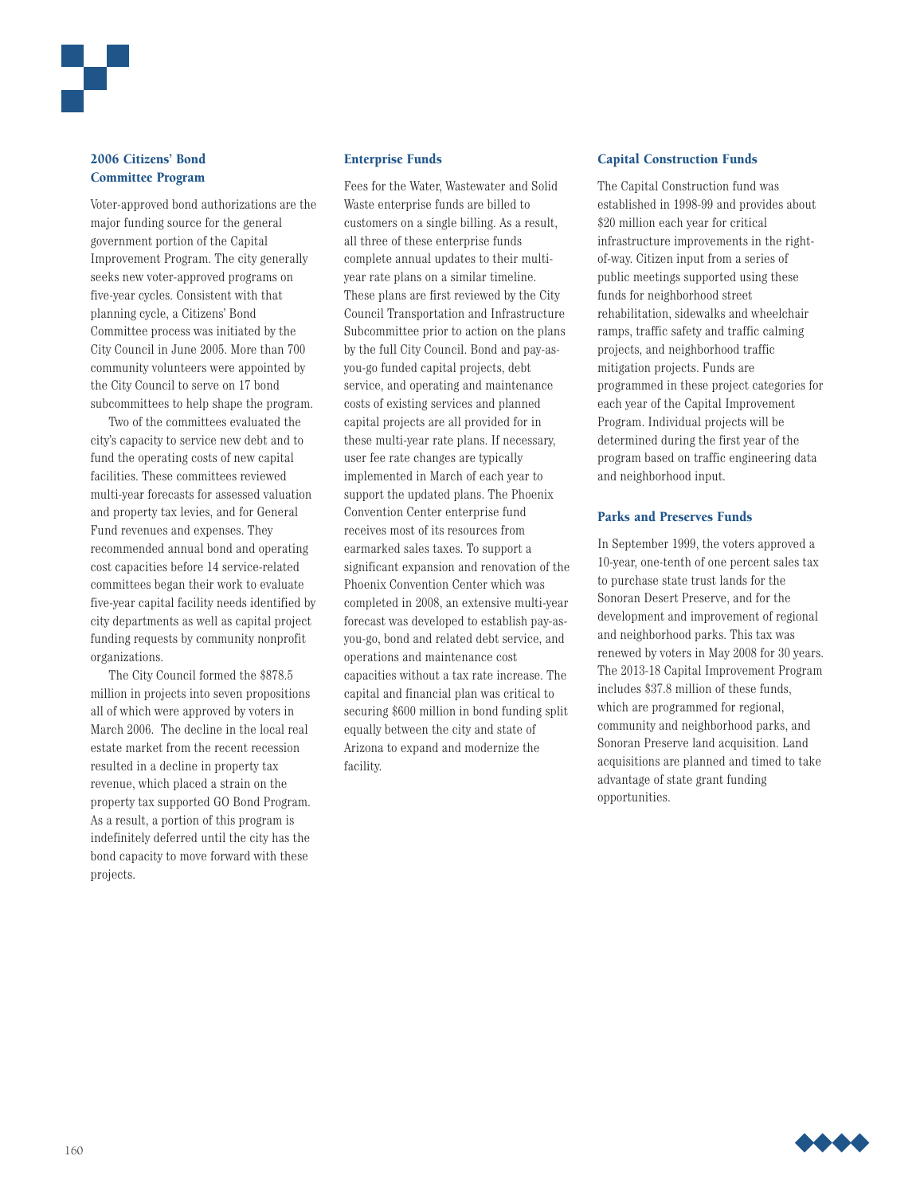

# **2006 Citizens' Bond Committee Program**

Voter-approved bond authorizations are the major funding source for the general government portion of the Capital Improvement Program. The city generally seeks new voter-approved programs on five-year cycles. Consistent with that planning cycle, a Citizens' Bond Committee process was initiated by the City Council in June 2005. More than 700 community volunteers were appointed by the City Council to serve on 17 bond subcommittees to help shape the program.

Two of the committees evaluated the city's capacity to service new debt and to fund the operating costs of new capital facilities. These committees reviewed multi-year forecasts for assessed valuation and property tax levies, and for General Fund revenues and expenses. They recommended annual bond and operating cost capacities before 14 service-related committees began their work to evaluate five-year capital facility needs identified by city departments as well as capital project funding requests by community nonprofit organizations.

The City Council formed the \$878.5 million in projects into seven propositions all of which were approved by voters in March 2006. The decline in the local real estate market from the recent recession resulted in a decline in property tax revenue, which placed a strain on the property tax supported GO Bond Program. As a result, a portion of this program is indefinitely deferred until the city has the bond capacity to move forward with these projects.

#### **Enterprise Funds**

Fees for the Water, Wastewater and Solid Waste enterprise funds are billed to customers on a single billing. As a result, all three of these enterprise funds complete annual updates to their multiyear rate plans on a similar timeline. These plans are first reviewed by the City Council Transportation and Infrastructure Subcommittee prior to action on the plans by the full City Council. Bond and pay-asyou-go funded capital projects, debt service, and operating and maintenance costs of existing services and planned capital projects are all provided for in these multi-year rate plans. If necessary, user fee rate changes are typically implemented in March of each year to support the updated plans. The Phoenix Convention Center enterprise fund receives most of its resources from earmarked sales taxes. To support a significant expansion and renovation of the Phoenix Convention Center which was completed in 2008, an extensive multi-year forecast was developed to establish pay-asyou-go, bond and related debt service, and operations and maintenance cost capacities without a tax rate increase. The capital and financial plan was critical to securing \$600 million in bond funding split equally between the city and state of Arizona to expand and modernize the facility.

## **Capital Construction Funds**

The Capital Construction fund was established in 1998-99 and provides about \$20 million each year for critical infrastructure improvements in the rightof-way. Citizen input from a series of public meetings supported using these funds for neighborhood street rehabilitation, sidewalks and wheelchair ramps, traffic safety and traffic calming projects, and neighborhood traffic mitigation projects. Funds are programmed in these project categories for each year of the Capital Improvement Program. Individual projects will be determined during the first year of the program based on traffic engineering data and neighborhood input.

#### **Parks and Preserves Funds**

In September 1999, the voters approved a 10-year, one-tenth of one percent sales tax to purchase state trust lands for the Sonoran Desert Preserve, and for the development and improvement of regional and neighborhood parks. This tax was renewed by voters in May 2008 for 30 years. The 2013-18 Capital Improvement Program includes \$37.8 million of these funds, which are programmed for regional, community and neighborhood parks, and Sonoran Preserve land acquisition. Land acquisitions are planned and timed to take advantage of state grant funding opportunities.

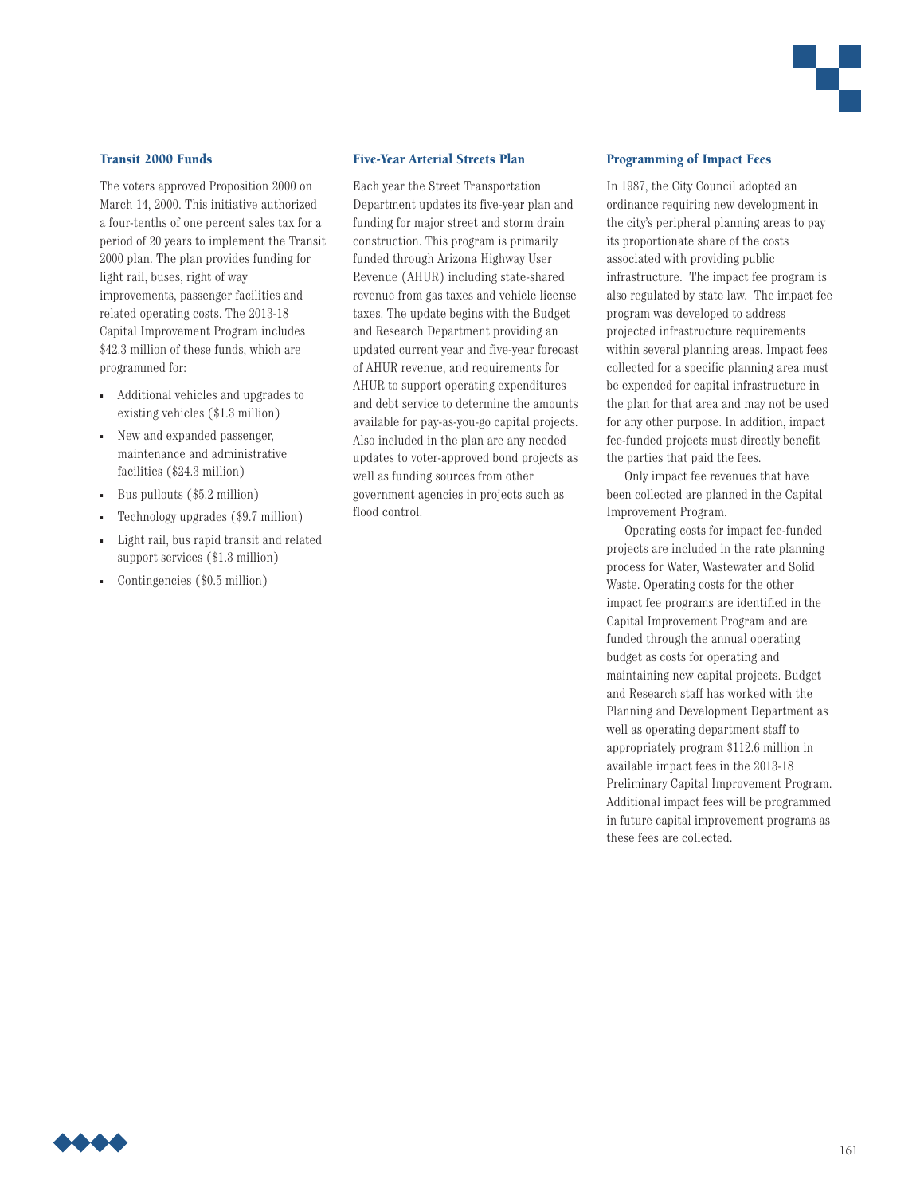

### **Transit 2000 Funds**

The voters approved Proposition 2000 on March 14, 2000. This initiative authorized a four-tenths of one percent sales tax for a period of 20 years to implement the Transit 2000 plan. The plan provides funding for light rail, buses, right of way improvements, passenger facilities and related operating costs. The 2013-18 Capital Improvement Program includes \$42.3 million of these funds, which are programmed for:

- Additional vehicles and upgrades to existing vehicles (\$1.3 million)
- New and expanded passenger, maintenance and administrative facilities (\$24.3 million)
- Bus pullouts  $(\$5.2$  million)
- <sup>n</sup> Technology upgrades (\$9.7 million)
- Light rail, bus rapid transit and related support services (\$1.3 million)
- Contingencies (\$0.5 million)

#### **Five-Year Arterial Streets Plan**

Each year the Street Transportation Department updates its five-year plan and funding for major street and storm drain construction. This program is primarily funded through Arizona Highway User Revenue (AHUR) including state-shared revenue from gas taxes and vehicle license taxes. The update begins with the Budget and Research Department providing an updated current year and five-year forecast of AHUR revenue, and requirements for AHUR to support operating expenditures and debt service to determine the amounts available for pay-as-you-go capital projects. Also included in the plan are any needed updates to voter-approved bond projects as well as funding sources from other government agencies in projects such as flood control.

#### **Programming of Impact Fees**

In 1987, the City Council adopted an ordinance requiring new development in the city's peripheral planning areas to pay its proportionate share of the costs associated with providing public infrastructure. The impact fee program is also regulated by state law. The impact fee program was developed to address projected infrastructure requirements within several planning areas. Impact fees collected for a specific planning area must be expended for capital infrastructure in the plan for that area and may not be used for any other purpose. In addition, impact fee-funded projects must directly benefit the parties that paid the fees.

Only impact fee revenues that have been collected are planned in the Capital Improvement Program.

Operating costs for impact fee-funded projects are included in the rate planning process for Water, Wastewater and Solid Waste. Operating costs for the other impact fee programs are identified in the Capital Improvement Program and are funded through the annual operating budget as costs for operating and maintaining new capital projects. Budget and Research staff has worked with the Planning and Development Department as well as operating department staff to appropriately program \$112.6 million in available impact fees in the 2013-18 Preliminary Capital Improvement Program. Additional impact fees will be programmed in future capital improvement programs as these fees are collected.

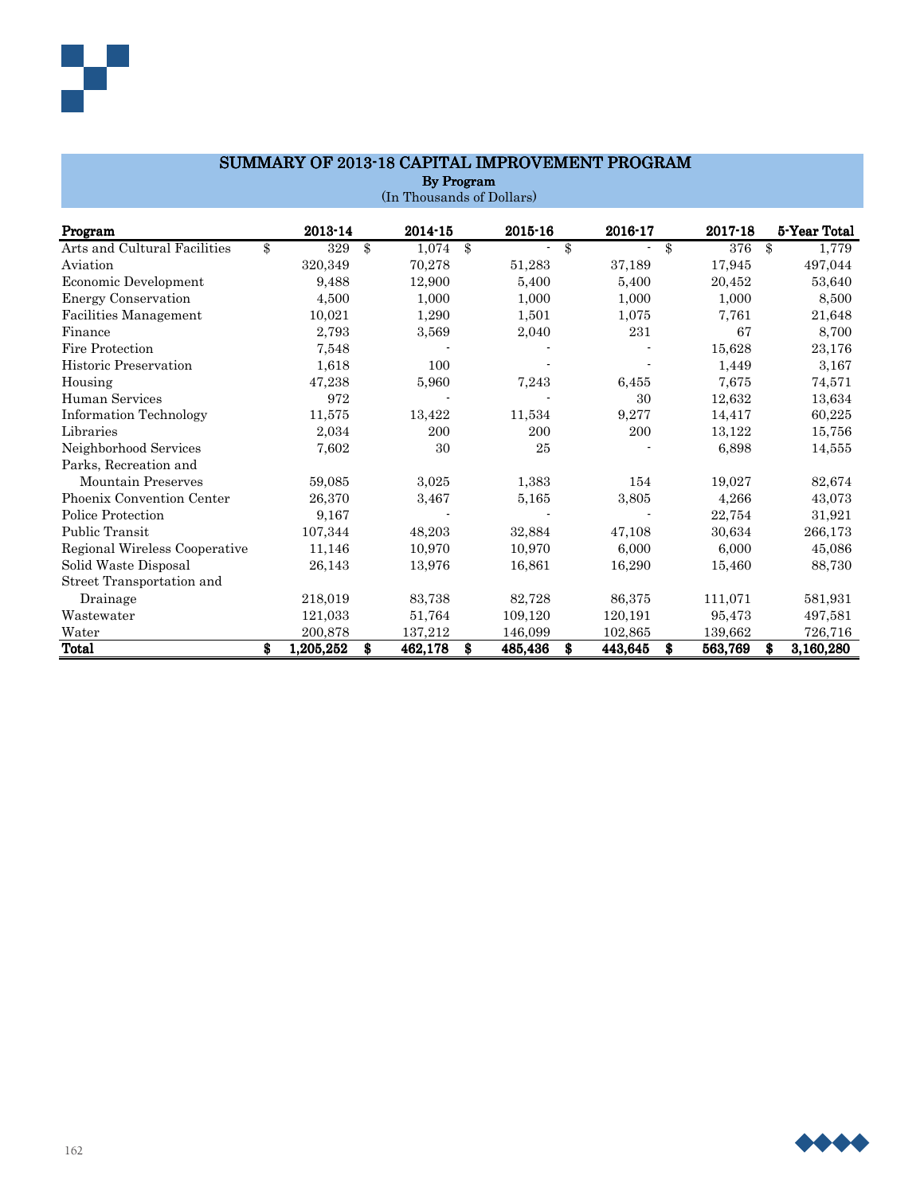| <b>By Program</b>             |    |           |               |         |    |             |    |         |    |             |    |              |
|-------------------------------|----|-----------|---------------|---------|----|-------------|----|---------|----|-------------|----|--------------|
| (In Thousands of Dollars)     |    |           |               |         |    |             |    |         |    |             |    |              |
| Program                       |    | 2013-14   |               | 2014-15 |    | $2015 - 16$ |    | 2016-17 |    | $2017 - 18$ |    | 5-Year Total |
| Arts and Cultural Facilities  | \$ | 329       | $\mathbf{\$}$ | 1,074   | \$ |             | \$ | ٠       | \$ | 376         | \$ | 1,779        |
| Aviation                      |    | 320,349   |               | 70,278  |    | 51,283      |    | 37,189  |    | 17,945      |    | 497,044      |
| Economic Development          |    | 9,488     |               | 12,900  |    | 5,400       |    | 5,400   |    | 20,452      |    | 53,640       |
| <b>Energy Conservation</b>    |    | 4,500     |               | 1,000   |    | 1,000       |    | 1,000   |    | 1,000       |    | 8,500        |
| Facilities Management         |    | 10,021    |               | 1,290   |    | 1,501       |    | 1,075   |    | 7,761       |    | 21,648       |
| Finance                       |    | 2,793     |               | 3,569   |    | 2,040       |    | 231     |    | 67          |    | 8,700        |
| Fire Protection               |    | 7,548     |               |         |    |             |    |         |    | 15,628      |    | 23,176       |
| <b>Historic Preservation</b>  |    | 1,618     |               | 100     |    |             |    |         |    | 1,449       |    | 3,167        |
| Housing                       |    | 47,238    |               | 5,960   |    | 7,243       |    | 6,455   |    | 7,675       |    | 74,571       |
| Human Services                |    | 972       |               |         |    |             |    | 30      |    | 12,632      |    | 13,634       |
| <b>Information Technology</b> |    | 11,575    |               | 13,422  |    | 11,534      |    | 9,277   |    | 14,417      |    | 60,225       |
| Libraries                     |    | 2,034     |               | 200     |    | 200         |    | 200     |    | 13,122      |    | 15,756       |
| Neighborhood Services         |    | 7,602     |               | 30      |    | 25          |    |         |    | 6,898       |    | 14,555       |
| Parks, Recreation and         |    |           |               |         |    |             |    |         |    |             |    |              |
| <b>Mountain Preserves</b>     |    | 59,085    |               | 3,025   |    | 1,383       |    | 154     |    | 19,027      |    | 82,674       |
| Phoenix Convention Center     |    | 26,370    |               | 3,467   |    | 5,165       |    | 3,805   |    | 4,266       |    | 43,073       |
| Police Protection             |    | 9,167     |               |         |    |             |    |         |    | 22,754      |    | 31,921       |
| <b>Public Transit</b>         |    | 107,344   |               | 48,203  |    | 32,884      |    | 47,108  |    | 30,634      |    | 266,173      |
| Regional Wireless Cooperative |    | 11,146    |               | 10,970  |    | 10,970      |    | 6,000   |    | 6,000       |    | 45,086       |
| Solid Waste Disposal          |    | 26,143    |               | 13,976  |    | 16,861      |    | 16,290  |    | 15,460      |    | 88,730       |
| Street Transportation and     |    |           |               |         |    |             |    |         |    |             |    |              |
| Drainage                      |    | 218,019   |               | 83,738  |    | 82,728      |    | 86,375  |    | 111,071     |    | 581,931      |
| Wastewater                    |    | 121,033   |               | 51,764  |    | 109,120     |    | 120,191 |    | 95,473      |    | 497,581      |
| Water                         |    | 200,878   |               | 137,212 |    | 146,099     |    | 102,865 |    | 139,662     |    | 726,716      |
| <b>Total</b>                  | \$ | 1,205,252 | \$            | 462,178 | \$ | 485,436     | \$ | 443,645 | \$ | 563,769     | \$ | 3,160,280    |

# SUMMARY OF 2013-18 CAPITAL IMPROVEMENT PROGRAM